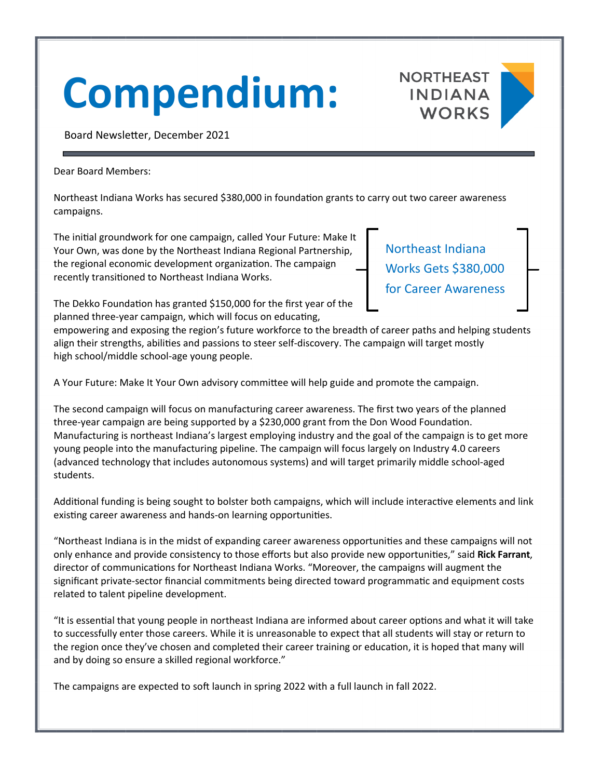## **Compendium:**





Board Newsletter, December 2021

Dear Board Members:

Northeast Indiana Works has secured \$380,000 in foundation grants to carry out two career awareness campaigns.

The initial groundwork for one campaign, called Your Future: Make It Your Own, was done by the Northeast Indiana Regional Partnership, the regional economic development organization. The campaign recently transitioned to Northeast Indiana Works.

Northeast Indiana Works Gets \$380,000 for Career Awareness

The Dekko Foundation has granted \$150,000 for the first year of the planned three-year campaign, which will focus on educating,

empowering and exposing the region's future workforce to the breadth of career paths and helping students align their strengths, abilities and passions to steer self-discovery. The campaign will target mostly high school/middle school‐age young people.

A Your Future: Make It Your Own advisory committee will help guide and promote the campaign.

The second campaign will focus on manufacturing career awareness. The first two years of the planned three-year campaign are being supported by a \$230,000 grant from the Don Wood Foundation. Manufacturing is northeast Indiana's largest employing industry and the goal of the campaign is to get more young people into the manufacturing pipeline. The campaign will focus largely on Industry 4.0 careers (advanced technology that includes autonomous systems) and will target primarily middle school‐aged students.

Additional funding is being sought to bolster both campaigns, which will include interactive elements and link existing career awareness and hands-on learning opportunities.

"Northeast Indiana is in the midst of expanding career awareness opportunities and these campaigns will not only enhance and provide consistency to those efforts but also provide new opportunities," said Rick Farrant, director of communications for Northeast Indiana Works. "Moreover, the campaigns will augment the significant private-sector financial commitments being directed toward programmatic and equipment costs related to talent pipeline development.

"It is essential that young people in northeast Indiana are informed about career options and what it will take to successfully enter those careers. While it is unreasonable to expect that all students will stay or return to the region once they've chosen and completed their career training or education, it is hoped that many will and by doing so ensure a skilled regional workforce."

The campaigns are expected to soft launch in spring 2022 with a full launch in fall 2022.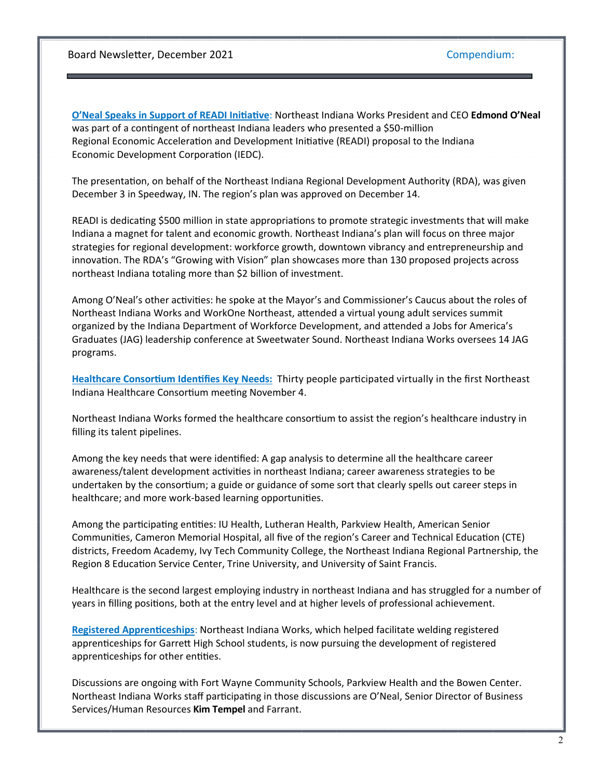Board Newsletter, December 2021 Compendium:

**O'Neal Speaks in Support of READI Initiative: Northeast Indiana Works President and CEO Edmond O'Neal** was part of a contingent of northeast Indiana leaders who presented a \$50-million Regional Economic Acceleration and Development Initiative (READI) proposal to the Indiana Economic Development Corporation (IEDC).

The presentation, on behalf of the Northeast Indiana Regional Development Authority (RDA), was given December 3 in Speedway, IN. The region's plan was approved on December 14.

READI is dedicating \$500 million in state appropriations to promote strategic investments that will make Indiana a magnet for talent and economic growth. Northeast Indiana's plan will focus on three major strategies for regional development: workforce growth, downtown vibrancy and entrepreneurship and innovation. The RDA's "Growing with Vision" plan showcases more than 130 proposed projects across northeast Indiana totaling more than \$2 billion of investment.

Among O'Neal's other activities: he spoke at the Mayor's and Commissioner's Caucus about the roles of Northeast Indiana Works and WorkOne Northeast, attended a virtual young adult services summit organized by the Indiana Department of Workforce Development, and attended a Jobs for America's Graduates (JAG) leadership conference at Sweetwater Sound. Northeast Indiana Works oversees 14 JAG programs.

Healthcare Consortium Identifies Key Needs: Thirty people participated virtually in the first Northeast Indiana Healthcare Consortium meeting November 4.

Northeast Indiana Works formed the healthcare consortium to assist the region's healthcare industry in filling its talent pipelines.

Among the key needs that were identified: A gap analysis to determine all the healthcare career awareness/talent development activities in northeast Indiana; career awareness strategies to be undertaken by the consortium; a guide or guidance of some sort that clearly spells out career steps in healthcare; and more work-based learning opportunities.

Among the participating entities: IU Health, Lutheran Health, Parkview Health, American Senior Communities, Cameron Memorial Hospital, all five of the region's Career and Technical Education (CTE) districts, Freedom Academy, Ivy Tech Community College, the Northeast Indiana Regional Partnership, the Region 8 Education Service Center, Trine University, and University of Saint Francis.

Healthcare is the second largest employing industry in northeast Indiana and has struggled for a number of years in filling positions, both at the entry level and at higher levels of professional achievement.

**Registered Apprenticeships: Northeast Indiana Works, which helped facilitate welding registered** apprenticeships for Garrett High School students, is now pursuing the development of registered apprenticeships for other entities.

Discussions are ongoing with Fort Wayne Community Schools, Parkview Health and the Bowen Center. Northeast Indiana Works staff participating in those discussions are O'Neal, Senior Director of Business Services/Human Resources **Kim Tempel** and Farrant.